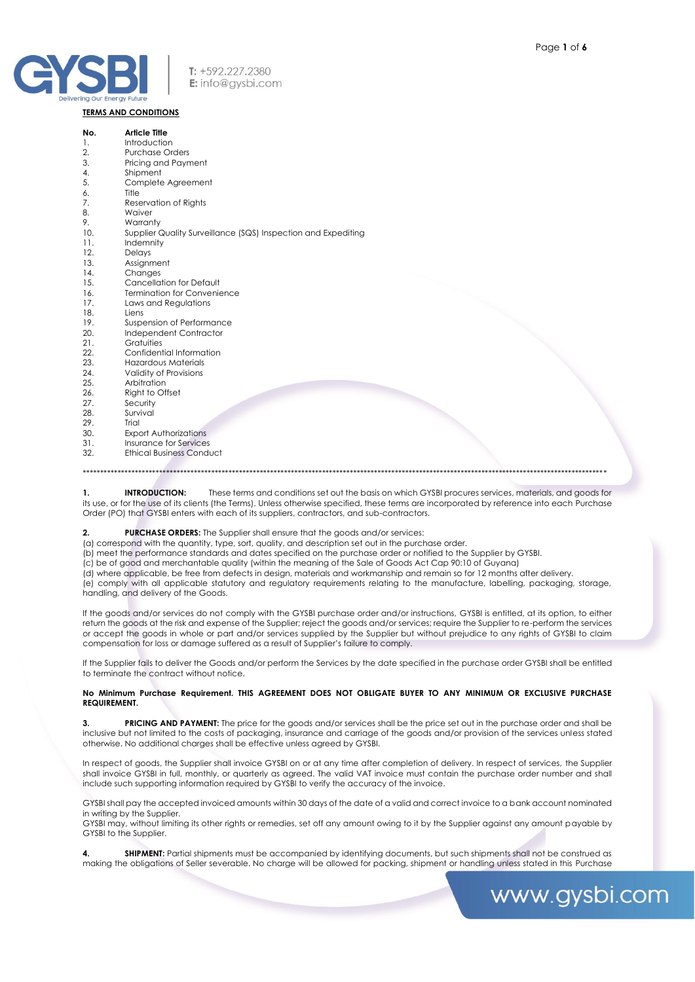

### **TERMS AND CONDITIONS**

| No.              | <b>Article Title</b>                                          |
|------------------|---------------------------------------------------------------|
| 1.               | Introduction                                                  |
| 2.               | <b>Purchase Orders</b>                                        |
| 3.               | Pricing and Payment                                           |
| $\overline{4}$ . | Shipment                                                      |
| 5.               | Complete Agreement                                            |
| 6.               | Title                                                         |
| 7.               | Reservation of Rights                                         |
| 8.               | Waiver                                                        |
| 9.               | Warranty                                                      |
| 10.              | Supplier Quality Surveillance (SQS) Inspection and Expediting |
| 11.              | Indemnity                                                     |
| 12.              | Delays                                                        |
| 13.              | Assignment                                                    |
| 14.              | Changes                                                       |
| 15.              | Cancellation for Default                                      |
| 16.              | <b>Termination for Convenience</b>                            |
| 17.              | Laws and Regulations                                          |
| 18.              | Liens                                                         |
| 19.              | Suspension of Performance                                     |
| 20.              | Independent Contractor                                        |
| 21.              | Gratuities                                                    |
| 22.              | Confidential Information                                      |
| 23.              | <b>Hazardous Materials</b>                                    |
| 24.              | Validity of Provisions                                        |
| 25.              | Arbitration                                                   |
| 26.              | Right to Offset                                               |
| 27.              | Security                                                      |
| 28.              | Survival                                                      |
| 29.              | Trial                                                         |
| 30.              | <b>Export Authorizations</b>                                  |
| 31.              | Insurance for Services                                        |
| 32.              | <b>Ethical Business Conduct</b>                               |
|                  |                                                               |
|                  |                                                               |

 $\mathbf{1}$ **INTRODUCTION:** These terms and conditions set out the basis on which GYSBI procures services, materials, and goods for its use, or for the use of its clients (the Terms). Unless otherwise specified, these terms are incorporated by reference into each Purchase Order (PO) that GYSBI enters with each of its suppliers, contractors, and sub-contractors.

#### PURCHASE ORDERS: The Supplier shall ensure that the goods and/or services:  $\overline{2}$

(a) correspond with the quantity, type, sort, quality, and description set out in the purchase order.

(b) meet the performance standards and dates specified on the purchase order or notified to the Supplier by GYSBI.

(c) be of good and merchantable quality (within the meaning of the Sale of Goods Act Cap 90:10 of Guyana)

(d) where applicable, be free from defects in design, materials and workmanship and remain so for 12 months after delivery.

(e) comply with all applicable statutory and regulatory requirements relating to the manufacture, labelling, packaging, storage, handling, and delivery of the Goods.

If the goods and/or services do not comply with the GYSBI purchase order and/or instructions, GYSBI is entitled, at its option, to either return the goods at the risk and expense of the Supplier; reject the goods and/or services; require the Supplier to re-perform the services or accept the goods in whole or part and/or services supplied by the Supplier but without prejudice to any rights of GYSBI to claim compensation for loss or damage suffered as a result of Supplier's failure to comply.

If the Supplier fails to deliver the Goods and/or perform the Services by the date specified in the purchase order GYSBI shall be entitled to terminate the contract without notice.

### No Minimum Purchase Requirement. THIS AGREEMENT DOES NOT OBLIGATE BUYER TO ANY MINIMUM OR EXCLUSIVE PURCHASE **REQUIREMENT.**

PRICING AND PAYMENT: The price for the goods and/or services shall be the price set out in the purchase order and shall be inclusive but not limited to the costs of packaging, insurance and carriage of the goods and/or provision of the services unless stated otherwise. No additional charges shall be effective unless agreed by GYSBI.

In respect of goods, the Supplier shall invoice GYSBI on or at any time after completion of delivery. In respect of services, the Supplier shall invoice GYSBI in full, monthly, or quarterly as agreed. The valid VAT invoice must contain the purchase order number and shall include such supporting information required by GYSBI to verify the accuracy of the invoice.

GYSBI shall pay the accepted invoiced amounts within 30 days of the date of a valid and correct invoice to a bank account nominated in writing by the Supplier.

GYSBI may, without limiting its other rights or remedies, set off any amount owing to it by the Supplier against any amount payable by GYSBI to the Supplier.

SHIPMENT: Partial shipments must be accompanied by identifying documents, but such shipments shall not be construed as making the obligations of Seller severable. No charge will be allowed for packing, shipment or handling unless stated in this Purchase

# www.gysbi.com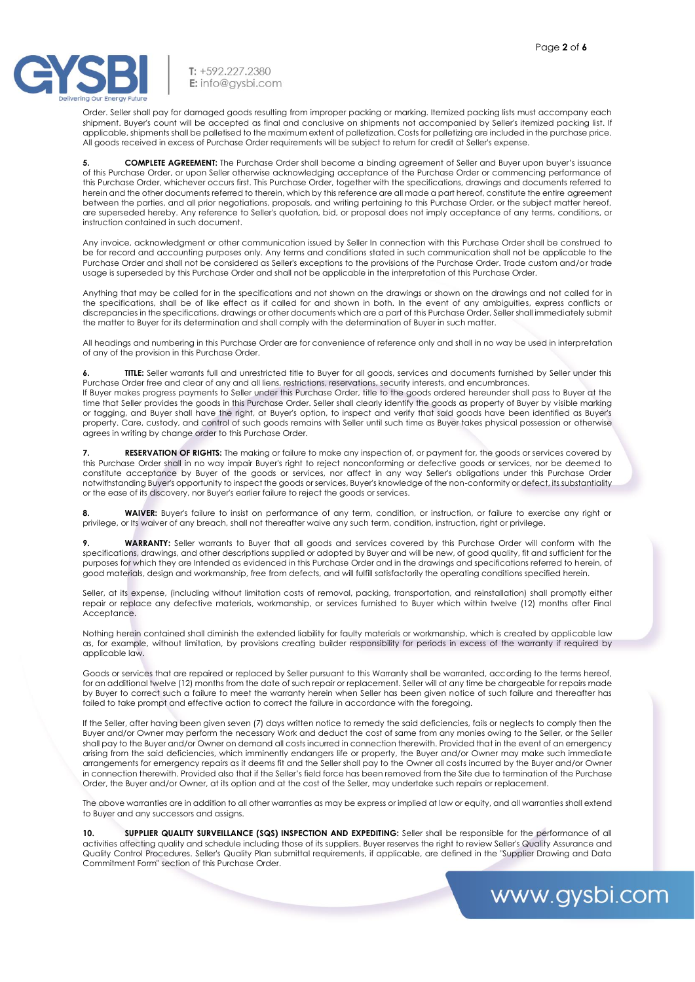

T: +592.227.2380 E: info@aysbi.com

Order. Seller shall pay for damaged goods resulting from improper packing or marking. Itemized packing lists must accompany each shipment. Buyer's count will be accepted as final and conclusive on shipments not accompanied by Seller's itemized packing list. If applicable, shipments shall be palletised to the maximum extent of palletization. Costs for palletizing are included in the purchase price. All goods received in excess of Purchase Order requirements will be subject to return for credit at Seller's expense.

**5. COMPLETE AGREEMENT:** The Purchase Order shall become a binding agreement of Seller and Buyer upon buyer's issuance of this Purchase Order, or upon Seller otherwise acknowledging acceptance of the Purchase Order or commencing performance of this Purchase Order, whichever occurs first. This Purchase Order, together with the specifications, drawings and documents referred to herein and the other documents referred to therein, which by this reference are all made a part hereof, constitute the entire agreement between the parties, and all prior negotiations, proposals, and writing pertaining to this Purchase Order, or the subject matter hereof, are superseded hereby. Any reference to Seller's quotation, bid, or proposal does not imply acceptance of any terms, conditions, or instruction contained in such document.

Any invoice, acknowledgment or other communication issued by Seller In connection with this Purchase Order shall be construed to be for record and accounting purposes only. Any terms and conditions stated in such communication shall not be applicable to the Purchase Order and shall not be considered as Seller's exceptions to the provisions of the Purchase Order. Trade custom and/or trade usage is superseded by this Purchase Order and shall not be applicable in the interpretation of this Purchase Order.

Anything that may be called for in the specifications and not shown on the drawings or shown on the drawings and not called for in the specifications, shall be of like effect as if called for and shown in both. In the event of any ambiguities, express conflicts or discrepancies in the specifications, drawings or other documents which are a part of this Purchase Order, Seller shall immediately submit the matter to Buyer for its determination and shall comply with the determination of Buyer in such matter.

All headings and numbering in this Purchase Order are for convenience of reference only and shall in no way be used in interpretation of any of the provision in this Purchase Order.

**6. TITLE:** Seller warrants full and unrestricted title to Buyer for all goods, services and documents furnished by Seller under this Purchase Order free and clear of any and all liens, restrictions, reservations, security interests, and encumbrances. If Buyer makes progress payments to Seller under this Purchase Order, title to the goods ordered hereunder shall pass to Buyer at the time that Seller provides the goods in this Purchase Order. Seller shall clearly identify the goods as property of Buyer by visible marking or tagging, and Buyer shall have the right, at Buyer's option, to inspect and verify that said goods have been identified as Buyer's property. Care, custody, and control of such goods remains with Seller until such time as Buyer takes physical possession or otherwise agrees in writing by change order to this Purchase Order.

**7. RESERVATION OF RIGHTS:** The making or failure to make any inspection of, or payment for, the goods or services covered by this Purchase Order shall in no way impair Buyer's right to reject nonconforming or defective goods or services, nor be deemed to constitute acceptance by Buyer of the goods or services, nor affect in any way Seller's obligations under this Purchase Order notwithstanding Buyer's opportunity to inspect the goods or services, Buyer's knowledge of the non-conformity or defect, its substantiality or the ease of its discovery, nor Buyer's earlier failure to reject the goods or services.

**8. WAIVER:** Buyer's failure to insist on performance of any term, condition, or instruction, or failure to exercise any right or privilege, or Its waiver of any breach, shall not thereafter waive any such term, condition, instruction, right or privilege.

**9. WARRANTY:** Seller warrants to Buyer that all goods and services covered by this Purchase Order will conform with the specifications, drawings, and other descriptions supplied or adopted by Buyer and will be new, of good quality, fit and sufficient for the purposes for which they are Intended as evidenced in this Purchase Order and in the drawings and specifications referred to herein, of good materials, design and workmanship, free from defects, and will fulfill satisfactorily the operating conditions specified herein.

Seller, at its expense, (including without limitation costs of removal, packing, transportation, and reinstallation) shall promptly either repair or replace any defective materials, workmanship, or services furnished to Buyer which within twelve (12) months after Final Acceptance.

Nothing herein contained shall diminish the extended liability for faulty materials or workmanship, which is created by applicable law as, for example, without limitation, by provisions creating builder responsibility for periods in excess of the warranty if required by applicable law.

Goods or services that are repaired or replaced by Seller pursuant to this Warranty shall be warranted, according to the terms hereof, for an additional twelve (12) months from the date of such repair or replacement. Seller will at any time be chargeable for repairs made by Buyer to correct such a failure to meet the warranty herein when Seller has been given notice of such failure and thereafter has failed to take prompt and effective action to correct the failure in accordance with the foregoing.

If the Seller, after having been given seven (7) days written notice to remedy the said deficiencies, fails or neglects to comply then the Buyer and/or Owner may perform the necessary Work and deduct the cost of same from any monies owing to the Seller, or the Seller shall pay to the Buyer and/or Owner on demand all costs incurred in connection therewith. Provided that in the event of an emergency arising from the said deficiencies, which imminently endangers life or property, the Buyer and/or Owner may make such immediate arrangements for emergency repairs as it deems fit and the Seller shall pay to the Owner all costs incurred by the Buyer and/or Owner in connection therewith. Provided also that if the Seller's field force has been removed from the Site due to termination of the Purchase Order, the Buyer and/or Owner, at its option and at the cost of the Seller, may undertake such repairs or replacement.

The above warranties are in addition to all other warranties as may be express or implied at law or equity, and all warranties shall extend to Buyer and any successors and assigns.

**10. SUPPLIER QUALITY SURVEILLANCE (SQS) INSPECTION AND EXPEDITING:** Seller shall be responsible for the performance of all activities affecting quality and schedule including those of its suppliers. Buyer reserves the right to review Seller's Quality Assurance and Quality Control Procedures. Seller's Quality Plan submittal requirements, if applicable, are defined in the "Supplier Drawing and Data Commitment Form" section of this Purchase Order.

## www.gysbi.com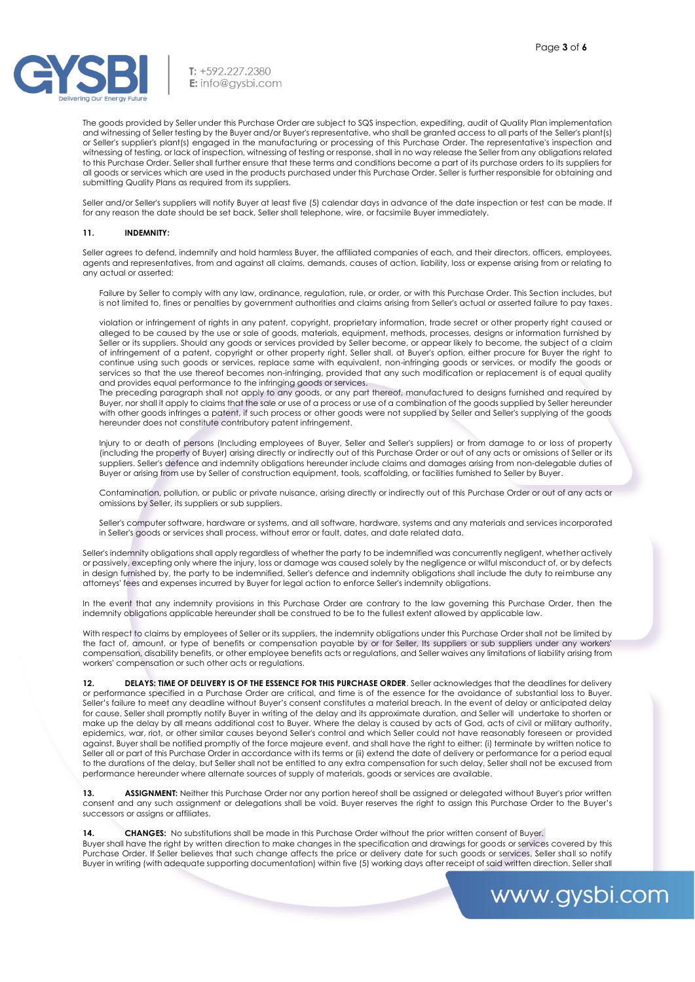T: +592.227.2380 E: info@gysbi.com

The goods provided by Seller under this Purchase Order are subject to SQS inspection, expediting, audit of Quality Plan implementation and witnessing of Seller testing by the Buyer and/or Buyer's representative, who shall be granted access to all parts of the Seller's plant(s) or Seller's supplier's plant(s) engaged in the manufacturing or processing of this Purchase Order. The representative's inspection and witnessing of testing, or lack of inspection, witnessing of testing or response, shall in no way release the Seller from any obligations related to this Purchase Order. Seller shall further ensure that these terms and conditions become a part of its purchase orders to its suppliers for all goods or services which are used in the products purchased under this Purchase Order. Seller is further responsible for obtaining and submitting Quality Plans as required from its suppliers.

Seller and/or Seller's suppliers will notify Buyer at least five (5) calendar days in advance of the date inspection or test can be made. If for any reason the date should be set back, Seller shall telephone, wire, or facsimile Buyer immediately.

### **11. INDEMNITY:**

Seller agrees to defend, indemnify and hold harmless Buyer, the affiliated companies of each, and their directors, officers, employees, agents and representatives, from and against all claims, demands, causes of action, liability, loss or expense arising from or relating to any actual or asserted:

Failure by Seller to comply with any law, ordinance, regulation, rule, or order, or with this Purchase Order. This Section includes, but is not limited to, fines or penalties by government authorities and claims arising from Seller's actual or asserted failure to pay taxes.

violation or infringement of rights in any patent, copyright, proprietary information, trade secret or other property right caused or alleged to be caused by the use or sale of goods, materials, equipment, methods, processes, designs or information furnished by Seller or its suppliers. Should any goods or services provided by Seller become, or appear likely to become, the subject of a claim of infringement of a patent, copyright or other property right, Seller shall, at Buyer's option, either procure for Buyer the right to continue using such goods or services, replace same with equivalent, non-infringing goods or services, or modify the goods or services so that the use thereof becomes non-infringing, provided that any such modification or replacement is of equal quality and provides equal performance to the infringing goods or services.

The preceding paragraph shall not apply to any goods, or any part thereof, manufactured to designs furnished and required by Buyer, nor shall it apply to claims that the sale or use of a process or use of a combination of the goods supplied by Seller hereunder with other goods infringes a patent, if such process or other goods were not supplied by Seller and Seller's supplying of the goods hereunder does not constitute contributory patent infringement.

Injury to or death of persons (Including employees of Buyer, Seller and Seller's suppliers) or from damage to or loss of property (including the property of Buyer) arising directly or indirectly out of this Purchase Order or out of any acts or omissions of Seller or its suppliers. Seller's defence and indemnity obligations hereunder include claims and damages arising from non-delegable duties of Buyer or arising from use by Seller of construction equipment, tools, scaffolding, or facilities furnished to Seller by Buyer.

Contamination, pollution, or public or private nuisance, arising directly or indirectly out of this Purchase Order or out of any acts or omissions by Seller, its suppliers or sub suppliers.

Seller's computer software, hardware or systems, and all software, hardware, systems and any materials and services incorporated in Seller's goods or services shall process, without error or fault, dates, and date related data.

Seller's indemnity obligations shall apply regardless of whether the party to be indemnified was concurrently negligent, whether actively or passively, excepting only where the injury, loss or damage was caused solely by the negligence or wilful misconduct of, or by defects in design furnished by, the party to be indemnified, Seller's defence and indemnity obligations shall include the duty to reimburse any attorneys' fees and expenses incurred by Buyer for legal action to enforce Seller's indemnity obligations.

In the event that any indemnity provisions in this Purchase Order are contrary to the law governing this Purchase Order, then the indemnity obligations applicable hereunder shall be construed to be to the fullest extent allowed by applicable law.

With respect to claims by employees of Seller or its suppliers, the indemnity obligations under this Purchase Order shall not be limited by the fact of, amount, or type of benefits or compensation payable by or for Seller, Its suppliers or sub suppliers under any workers' compensation, disability benefits, or other employee benefits acts or regulations, and Seller waives any limitations of liability arising from workers' compensation or such other acts or regulations.

**12. DELAYS: TIME OF DELIVERY IS OF THE ESSENCE FOR THIS PURCHASE ORDER**. Seller acknowledges that the deadlines for delivery or performance specified in a Purchase Order are critical, and time is of the essence for the avoidance of substantial loss to Buyer. Seller's failure to meet any deadline without Buyer's consent constitutes a material breach. In the event of delay or anticipated delay for cause, Seller shall promptly notify Buyer in writing of the delay and its approximate duration, and Seller will undertake to shorten or make up the delay by all means additional cost to Buyer. Where the delay is caused by acts of God, acts of civil or military authority, epidemics, war, riot, or other similar causes beyond Seller's control and which Seller could not have reasonably foreseen or provided against, Buyer shall be notified promptly of the force majeure event, and shall have the right to either: (i) terminate by written notice to Seller all or part of this Purchase Order in accordance with its terms or (ii) extend the date of delivery or performance for a period equal to the durations of the delay, but Seller shall not be entitled to any extra compensation for such delay, Seller shall not be excused from performance hereunder where alternate sources of supply of materials, goods or services are available.

**13. ASSIGNMENT:** Neither this Purchase Order nor any portion hereof shall be assigned or delegated without Buyer's prior written consent and any such assignment or delegations shall be void. Buyer reserves the right to assign this Purchase Order to the Buyer's successors or assigns or affiliates.

**14. CHANGES:** No substitutions shall be made in this Purchase Order without the prior written consent of Buyer.

Buyer shall have the right by written direction to make changes in the specification and drawings for goods or services covered by this Purchase Order. If Seller believes that such change affects the price or delivery date for such goods or services, Seller shall so notify Buyer in writing (with adequate supporting documentation) within five (5) working days after receipt of said written direction. Seller shall

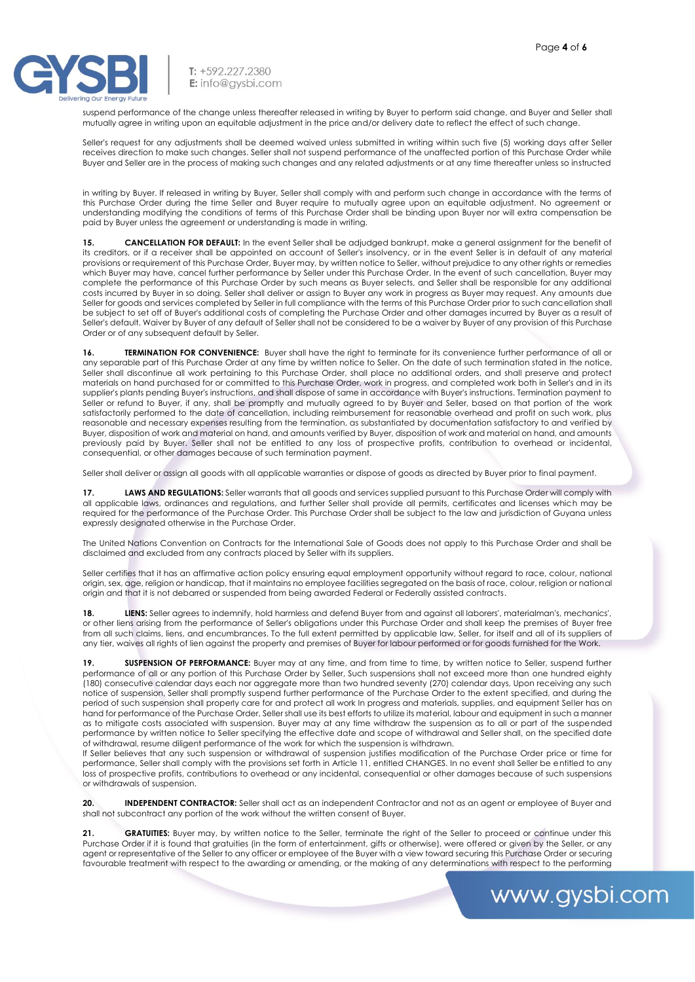www.gysbi.com



T: +592.227.2380 E: info@aysbi.com

suspend performance of the change unless thereafter released in writing by Buyer to perform said change, and Buyer and Seller shall mutually agree in writing upon an equitable adjustment in the price and/or delivery date to reflect the effect of such change.

Seller's request for any adjustments shall be deemed waived unless submitted in writing within such five (5) working days after Seller receives direction to make such changes. Seller shall not suspend performance of the unaffected portion of this Purchase Order while Buyer and Seller are in the process of making such changes and any related adjustments or at any time thereafter unless so instructed

in writing by Buyer. If released in writing by Buyer, Seller shall comply with and perform such change in accordance with the terms of this Purchase Order during the time Seller and Buyer require to mutually agree upon an equitable adjustment. No agreement or understanding modifying the conditions of terms of this Purchase Order shall be binding upon Buyer nor will extra compensation be paid by Buyer unless the agreement or understanding is made in writing.

**15. CANCELLATION FOR DEFAULT:** In the event Seller shall be adjudged bankrupt, make a general assignment for the benefit of its creditors, or if a receiver shall be appointed on account of Seller's insolvency, or in the event Seller is in default of any material provisions or requirement of this Purchase Order, Buyer may, by written notice to Seller, without prejudice to any other rights or remedies which Buyer may have, cancel further performance by Seller under this Purchase Order. In the event of such cancellation, Buyer may complete the performance of this Purchase Order by such means as Buyer selects, and Seller shall be responsible for any additional costs incurred by Buyer in so doing. Seller shall deliver or assign to Buyer any work in progress as Buyer may request. Any amounts due Seller for goods and services completed by Seller in full compliance with the terms of this Purchase Order prior to such cancellation shall be subject to set off of Buyer's additional costs of completing the Purchase Order and other damages incurred by Buyer as a result of Seller's default. Waiver by Buyer of any default of Seller shall not be considered to be a waiver by Buyer of any provision of this Purchase Order or of any subsequent default by Seller.

**16. TERMINATION FOR CONVENIENCE:** Buyer shall have the right to terminate for its convenience further performance of all or any separable part of this Purchase Order at any time by written notice to Seller. On the date of such termination stated in the notice, Seller shall discontinue all work pertaining to this Purchase Order, shall place no additional orders, and shall preserve and protect materials on hand purchased for or committed to this Purchase Order, work in progress, and completed work both in Seller's and in its supplier's plants pending Buyer's instructions, and shall dispose of same in accordance with Buyer's instructions. Termination payment to Seller or refund to Buyer, if any, shall be promptly and mutually agreed to by Buyer and Seller, based on that portion of the work satisfactorily performed to the date of cancellation, including reimbursement for reasonable overhead and profit on such work, plus reasonable and necessary expenses resulting from the termination, as substantiated by documentation satisfactory to and verified by Buyer, disposition of work and material on hand, and amounts verified by Buyer, disposition of work and material on hand, and amounts previously paid by Buyer. Seller shall not be entitled to any loss of prospective profits, contribution to overhead or incidental, consequential, or other damages because of such termination payment.

Seller shall deliver or assign all goods with all applicable warranties or dispose of goods as directed by Buyer prior to final payment.

17. **LAWS AND REGULATIONS:** Seller warrants that all goods and services supplied pursuant to this Purchase Order will comply with all applicable laws, ordinances and regulations, and further Seller shall provide all permits, certificates and licenses which may be required for the performance of the Purchase Order. This Purchase Order shall be subject to the law and jurisdiction of Guyana unless expressly designated otherwise in the Purchase Order.

The United Nations Convention on Contracts for the International Sale of Goods does not apply to this Purchase Order and shall be disclaimed and excluded from any contracts placed by Seller with its suppliers.

Seller certifies that it has an affirmative action policy ensuring equal employment opportunity without regard to race, colour, national origin, sex, age, religion or handicap, that it maintains no employee facilities segregated on the basis of race, colour, religion or national origin and that it is not debarred or suspended from being awarded Federal or Federally assisted contracts.

**18. LIENS:** Seller agrees to indemnify, hold harmless and defend Buyer from and against all laborers', materialman's, mechanics', or other liens arising from the performance of Seller's obligations under this Purchase Order and shall keep the premises of Buyer free from all such claims, liens, and encumbrances. To the full extent permitted by applicable law, Seller, for itself and all of its suppliers of any tier, waives all rights of lien against the property and premises of Buyer for labour performed or for goods furnished for the Work.

**19. SUSPENSION OF PERFORMANCE:** Buyer may at any time, and from time to time, by written notice to Seller, suspend further performance of all or any portion of this Purchase Order by Seller, Such suspensions shall not exceed more than one hundred eighty (180) consecutive calendar days each nor aggregate more than two hundred seventy (270) calendar days, Upon receiving any such notice of suspension, Seller shall promptly suspend further performance of the Purchase Order to the extent specified, and during the period of such suspension shall properly care for and protect all work In progress and materials, supplies, and equipment Seller has on hand for performance of the Purchase Order, Seller shall use its best efforts to utilize its material, labour and equipment in such a manner as to mitigate costs associated with suspension. Buyer may at any time withdraw the suspension as to all or part of the suspended performance by written notice to Seller specifying the effective date and scope of withdrawal and Seller shall, on the specified date of withdrawal, resume diligent performance of the work for which the suspension is withdrawn.

If Seller believes that any such suspension or withdrawal of suspension justifies modification of the Purchase Order price or time for performance, Seller shall comply with the provisions set forth in Article 11, entitled CHANGES. In no event shall Seller be entitled to any loss of prospective profits, contributions to overhead or any incidental, consequential or other damages because of such suspensions or withdrawals of suspension.

**20. INDEPENDENT CONTRACTOR:** Seller shall act as an independent Contractor and not as an agent or employee of Buyer and shall not subcontract any portion of the work without the written consent of Buyer.

**21. GRATUITIES:** Buyer may, by written notice to the Seller, terminate the right of the Seller to proceed or continue under this Purchase Order if it is found that gratuities (in the form of entertainment, gifts or otherwise), were offered or given by the Seller, or any agent or representative of the Seller to any officer or employee of the Buyer with a view toward securing this Purchase Order or securing favourable treatment with respect to the awarding or amending, or the making of any determinations with respect to the performing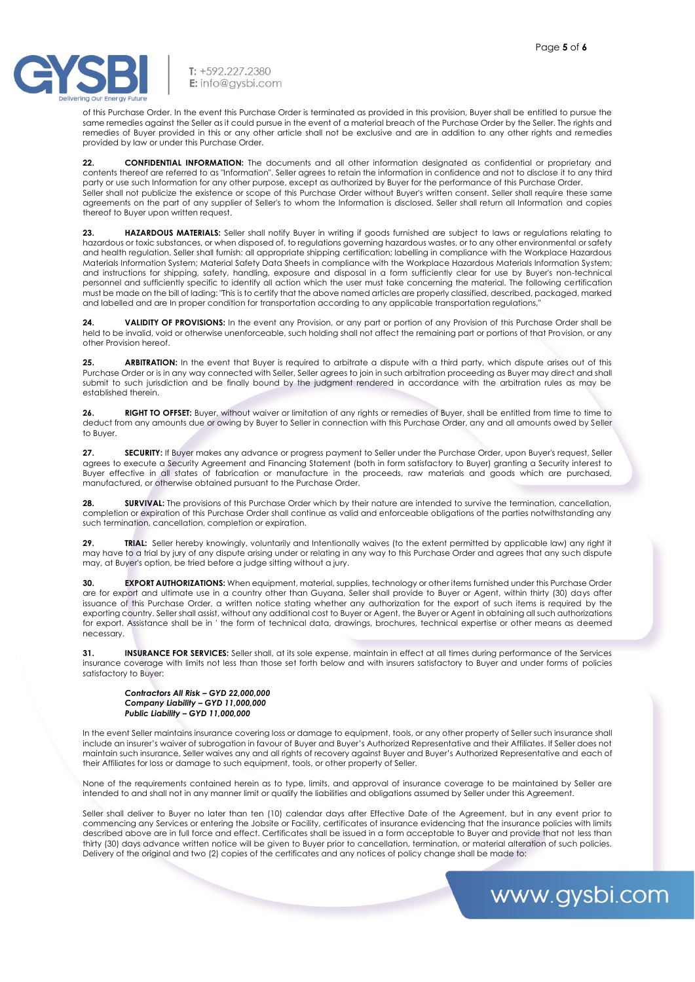

T: +592.227.2380 E: info@gysbi.com

of this Purchase Order. In the event this Purchase Order is terminated as provided in this provision, Buyer shall be entitled to pursue the same remedies against the Seller as it could pursue in the event of a material breach of the Purchase Order by the Seller. The rights and remedies of Buyer provided in this or any other article shall not be exclusive and are in addition to any other rights and remedies provided by law or under this Purchase Order.

**22. CONFIDENTIAL INFORMATION:** The documents and all other information designated as confidential or proprietary and contents thereof are referred to as "Information". Seller agrees to retain the information in confidence and not to disclose it to any third party or use such Information for any other purpose, except as authorized by Buyer for the performance of this Purchase Order. Seller shall not publicize the existence or scope of this Purchase Order without Buyer's written consent. Seller shall require these same agreements on the part of any supplier of Seller's to whom the Information is disclosed. Seller shall return all Information and copies thereof to Buyer upon written request.

**23. HAZARDOUS MATERIALS:** Seller shall notify Buyer in writing if goods furnished are subject to laws or regulations relating to hazardous or toxic substances, or when disposed of, to regulations governing hazardous wastes, or to any other environmental or safety and health regulation. Seller shall furnish: all appropriate shipping certification; labelling in compliance with the Workplace Hazardous Materials Information System; Material Safety Data Sheets in compliance with the Workplace Hazardous Materials Information System; and instructions for shipping, safety, handling, exposure and disposal in a form sufficiently clear for use by Buyer's non-technical personnel and sufficiently specific to identify all action which the user must take concerning the material. The following certification must be made on the bill of lading: "This is to certify that the above named articles are properly classified, described, packaged, marked and labelled and are In proper condition for transportation according to any applicable transportation regulations,"

**24. VALIDITY OF PROVISIONS:** In the event any Provision, or any part or portion of any Provision of this Purchase Order shall be held to be invalid, void or otherwise unenforceable, such holding shall not affect the remaining part or portions of that Provision, or any other Provision hereof.

**25. ARBITRATION:** In the event that Buyer is required to arbitrate a dispute with a third party, which dispute arises out of this Purchase Order or is in any way connected with Seller, Seller agrees to join in such arbitration proceeding as Buyer may direct and shall submit to such jurisdiction and be finally bound by the judgment rendered in accordance with the arbitration rules as may be established therein.

**26. RIGHT TO OFFSET:** Buyer, without waiver or limitation of any rights or remedies of Buyer, shall be entitled from time to time to deduct from any amounts due or owing by Buyer to Seller in connection with this Purchase Order, any and all amounts owed by Seller to Buyer.

**27. SECURITY:** If Buyer makes any advance or progress payment to Seller under the Purchase Order, upon Buyer's request, Seller agrees to execute a Security Agreement and Financing Statement (both in form satisfactory to Buyer) granting a Security interest to Buyer effective in all states of fabrication or manufacture in the proceeds, raw materials and goods which are purchased, manufactured, or otherwise obtained pursuant to the Purchase Order.

**28. SURVIVAL:** The provisions of this Purchase Order which by their nature are intended to survive the termination, cancellation, completion or expiration of this Purchase Order shall continue as valid and enforceable obligations of the parties notwithstanding any such termination, cancellation, completion or expiration.

**29. TRIAL:** Seller hereby knowingly, voluntarily and Intentionally waives (to the extent permitted by applicable law) any right it may have to a trial by jury of any dispute arising under or relating in any way to this Purchase Order and agrees that any such dispute may, at Buyer's option, be tried before a judge sitting without a jury.

**30. EXPORT AUTHORIZATIONS:** When equipment, material, supplies, technology or other items furnished under this Purchase Order are for export and ultimate use in a country other than Guyana, Seller shall provide to Buyer or Agent, within thirty (30) days after issuance of this Purchase Order, a written notice stating whether any authorization for the export of such items is required by the exporting country. Seller shall assist, without any additional cost to Buyer or Agent, the Buyer or Agent in obtaining all such authorizations for export. Assistance shall be in ' the form of technical data, drawings, brochures, technical expertise or other means as deemed necessary.

**31. INSURANCE FOR SERVICES:** Seller shall, at its sole expense, maintain in effect at all times during performance of the Services insurance coverage with limits not less than those set forth below and with insurers satisfactory to Buyer and under forms of policies satisfactory to Buyer:

*Contractors All Risk – GYD 22,000,000 Company Liability – GYD 11,000,000 Public Liability – GYD 11,000,000*

In the event Seller maintains insurance covering loss or damage to equipment, tools, or any other property of Seller such insurance shall include an insurer's waiver of subrogation in favour of Buyer and Buyer's Authorized Representative and their Affiliates. If Seller does not maintain such insurance, Seller waives any and all rights of recovery against Buyer and Buyer's Authorized Representative and each of their Affiliates for loss or damage to such equipment, tools, or other property of Seller.

None of the requirements contained herein as to type, limits, and approval of insurance coverage to be maintained by Seller are intended to and shall not in any manner limit or qualify the liabilities and obligations assumed by Seller under this Agreement.

Seller shall deliver to Buyer no later than ten (10) calendar days after Effective Date of the Agreement, but in any event prior to commencing any Services or entering the Jobsite or Facility, certificates of insurance evidencing that the insurance policies with limits described above are in full force and effect. Certificates shall be issued in a form acceptable to Buyer and provide that not less than thirty (30) days advance written notice will be given to Buyer prior to cancellation, termination, or material alteration of such policies. Delivery of the original and two (2) copies of the certificates and any notices of policy change shall be made to: